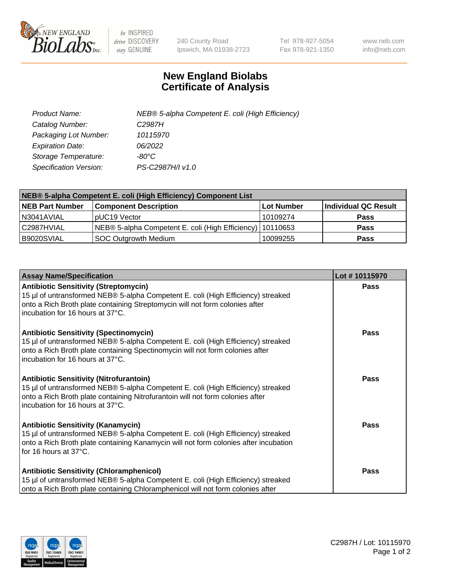

 $be$  INSPIRED drive DISCOVERY stay GENUINE

240 County Road Ipswich, MA 01938-2723 Tel 978-927-5054 Fax 978-921-1350 www.neb.com info@neb.com

## **New England Biolabs Certificate of Analysis**

| Product Name:           | NEB® 5-alpha Competent E. coli (High Efficiency) |
|-------------------------|--------------------------------------------------|
| Catalog Number:         | C <sub>2987</sub> H                              |
| Packaging Lot Number:   | 10115970                                         |
| <b>Expiration Date:</b> | 06/2022                                          |
| Storage Temperature:    | -80°C                                            |
| Specification Version:  | PS-C2987H/I v1.0                                 |

| NEB® 5-alpha Competent E. coli (High Efficiency) Component List |                                                             |                   |                      |  |
|-----------------------------------------------------------------|-------------------------------------------------------------|-------------------|----------------------|--|
| <b>NEB Part Number</b>                                          | <b>Component Description</b>                                | <b>Lot Number</b> | Individual QC Result |  |
| N3041AVIAL                                                      | pUC19 Vector                                                | 10109274          | <b>Pass</b>          |  |
| C2987HVIAL                                                      | NEB® 5-alpha Competent E. coli (High Efficiency)   10110653 |                   | <b>Pass</b>          |  |
| B9020SVIAL                                                      | <b>SOC Outgrowth Medium</b>                                 | 10099255          | <b>Pass</b>          |  |

| <b>Assay Name/Specification</b>                                                                                                                                                                                                                          | Lot #10115970 |
|----------------------------------------------------------------------------------------------------------------------------------------------------------------------------------------------------------------------------------------------------------|---------------|
| <b>Antibiotic Sensitivity (Streptomycin)</b><br>15 µl of untransformed NEB® 5-alpha Competent E. coli (High Efficiency) streaked<br>onto a Rich Broth plate containing Streptomycin will not form colonies after<br>incubation for 16 hours at 37°C.     | Pass          |
| <b>Antibiotic Sensitivity (Spectinomycin)</b><br>15 µl of untransformed NEB® 5-alpha Competent E. coli (High Efficiency) streaked<br>onto a Rich Broth plate containing Spectinomycin will not form colonies after<br>incubation for 16 hours at 37°C.   | Pass          |
| <b>Antibiotic Sensitivity (Nitrofurantoin)</b><br>15 µl of untransformed NEB® 5-alpha Competent E. coli (High Efficiency) streaked<br>onto a Rich Broth plate containing Nitrofurantoin will not form colonies after<br>incubation for 16 hours at 37°C. | Pass          |
| <b>Antibiotic Sensitivity (Kanamycin)</b><br>15 µl of untransformed NEB® 5-alpha Competent E. coli (High Efficiency) streaked<br>onto a Rich Broth plate containing Kanamycin will not form colonies after incubation<br>for 16 hours at 37°C.           | <b>Pass</b>   |
| <b>Antibiotic Sensitivity (Chloramphenicol)</b><br>15 µl of untransformed NEB® 5-alpha Competent E. coli (High Efficiency) streaked<br>onto a Rich Broth plate containing Chloramphenicol will not form colonies after                                   | Pass          |